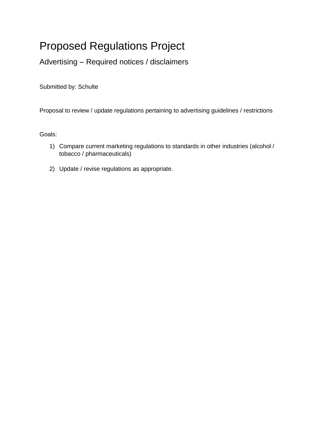## Proposed Regulations Project

Advertising – Required notices / disclaimers

Submitted by: Schulte

Proposal to review / update regulations pertaining to advertising guidelines / restrictions

Goals:

- 1) Compare current marketing regulations to standards in other industries (alcohol / tobacco / pharmaceuticals)
- 2) Update / revise regulations as appropriate.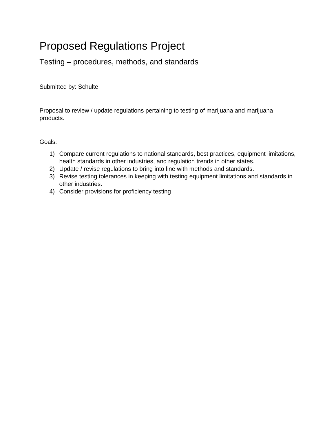## Proposed Regulations Project

Testing – procedures, methods, and standards

Submitted by: Schulte

Proposal to review / update regulations pertaining to testing of marijuana and marijuana products.

## Goals:

- 1) Compare current regulations to national standards, best practices, equipment limitations, health standards in other industries, and regulation trends in other states.
- 2) Update / revise regulations to bring into line with methods and standards.
- 3) Revise testing tolerances in keeping with testing equipment limitations and standards in other industries.
- 4) Consider provisions for proficiency testing